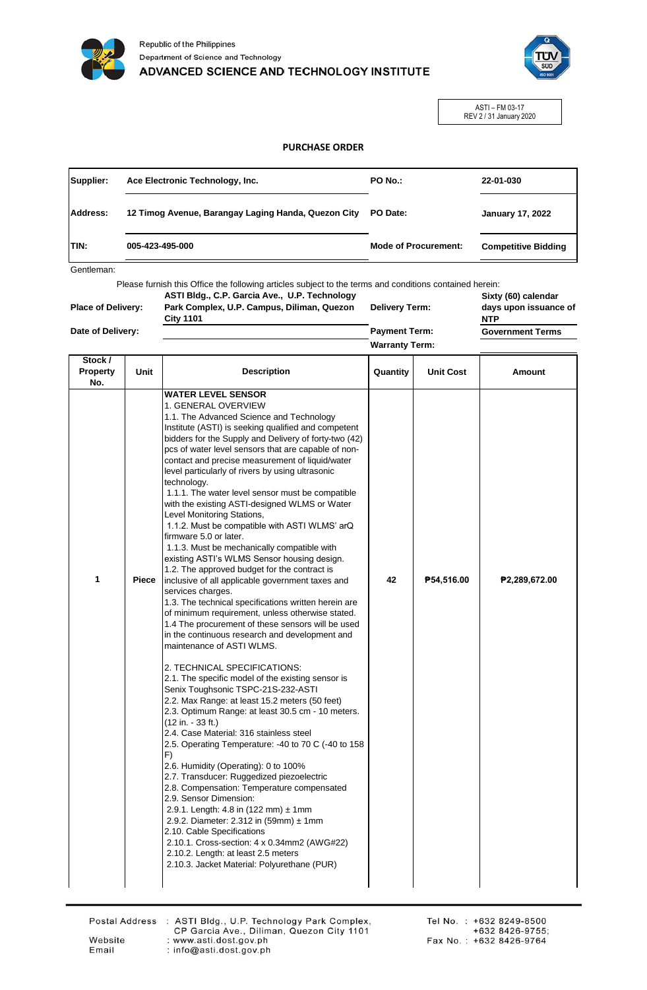



ASTI – FM 03-17 REV 2 / 31 January 2020

## **PURCHASE ORDER**

| Supplier:    | Ace Electronic Technology, Inc.                     | PO No.:                     | 22-01-030                  |
|--------------|-----------------------------------------------------|-----------------------------|----------------------------|
| Address:     | 12 Timog Avenue, Barangay Laging Handa, Quezon City | PO Date:                    | <b>January 17, 2022</b>    |
| <b>ITIN:</b> | 005-423-495-000                                     | <b>Mode of Procurement:</b> | <b>Competitive Bidding</b> |

Gentleman:

Please furnish this Office the following articles subject to the terms and conditions contained herein:

| <b>Place of Delivery:</b> | ASTI Bldg., C.P. Garcia Ave., U.P. Technology<br>Park Complex, U.P. Campus, Diliman, Quezon<br><b>City 1101</b> | <b>Delivery Term:</b> |  | Sixty (60) calendar<br>days upon issuance of<br><b>NTP</b> |
|---------------------------|-----------------------------------------------------------------------------------------------------------------|-----------------------|--|------------------------------------------------------------|
| Date of Delivery:         |                                                                                                                 | <b>Payment Term:</b>  |  | <b>Government Terms</b>                                    |
|                           |                                                                                                                 | <b>Warranty Term:</b> |  |                                                            |
| $0.1 - 1.1$               |                                                                                                                 |                       |  |                                                            |

| Stock /<br>Property<br>No. | Unit  | <b>Description</b>                                                                                                                                                                                                                                                                                                                                                                                                                                                                                                                                                                                                                                                                                                                                                                                                                                                                                                                                                                                                                                                                                                                                                                                                                                                                                                                                                                                                                                                                                                                                                                                                                                                                                                                                                                                                                                                    | Quantity | <b>Unit Cost</b> | <b>Amount</b> |
|----------------------------|-------|-----------------------------------------------------------------------------------------------------------------------------------------------------------------------------------------------------------------------------------------------------------------------------------------------------------------------------------------------------------------------------------------------------------------------------------------------------------------------------------------------------------------------------------------------------------------------------------------------------------------------------------------------------------------------------------------------------------------------------------------------------------------------------------------------------------------------------------------------------------------------------------------------------------------------------------------------------------------------------------------------------------------------------------------------------------------------------------------------------------------------------------------------------------------------------------------------------------------------------------------------------------------------------------------------------------------------------------------------------------------------------------------------------------------------------------------------------------------------------------------------------------------------------------------------------------------------------------------------------------------------------------------------------------------------------------------------------------------------------------------------------------------------------------------------------------------------------------------------------------------------|----------|------------------|---------------|
| 1                          | Piece | <b>WATER LEVEL SENSOR</b><br>1. GENERAL OVERVIEW<br>1.1. The Advanced Science and Technology<br>Institute (ASTI) is seeking qualified and competent<br>bidders for the Supply and Delivery of forty-two (42)<br>pcs of water level sensors that are capable of non-<br>contact and precise measurement of liquid/water<br>level particularly of rivers by using ultrasonic<br>technology.<br>1.1.1. The water level sensor must be compatible<br>with the existing ASTI-designed WLMS or Water<br>Level Monitoring Stations,<br>1.1.2. Must be compatible with ASTI WLMS' arQ<br>firmware 5.0 or later.<br>1.1.3. Must be mechanically compatible with<br>existing ASTI's WLMS Sensor housing design.<br>1.2. The approved budget for the contract is<br>inclusive of all applicable government taxes and<br>services charges.<br>1.3. The technical specifications written herein are<br>of minimum requirement, unless otherwise stated.<br>1.4 The procurement of these sensors will be used<br>in the continuous research and development and<br>maintenance of ASTI WLMS.<br>2. TECHNICAL SPECIFICATIONS:<br>2.1. The specific model of the existing sensor is<br>Senix Toughsonic TSPC-21S-232-ASTI<br>2.2. Max Range: at least 15.2 meters (50 feet)<br>2.3. Optimum Range: at least 30.5 cm - 10 meters.<br>$(12 in. - 33 ft.)$<br>2.4. Case Material: 316 stainless steel<br>2.5. Operating Temperature: -40 to 70 C (-40 to 158<br>F)<br>2.6. Humidity (Operating): 0 to 100%<br>2.7. Transducer: Ruggedized piezoelectric<br>2.8. Compensation: Temperature compensated<br>2.9. Sensor Dimension:<br>2.9.1. Length: 4.8 in (122 mm) $\pm$ 1mm<br>2.9.2. Diameter: 2.312 in (59mm) ± 1mm<br>2.10. Cable Specifications<br>2.10.1. Cross-section: 4 x 0.34mm2 (AWG#22)<br>2.10.2. Length: at least 2.5 meters<br>2.10.3. Jacket Material: Polyurethane (PUR) | 42       | P54,516.00       | ₱2,289,672.00 |

Email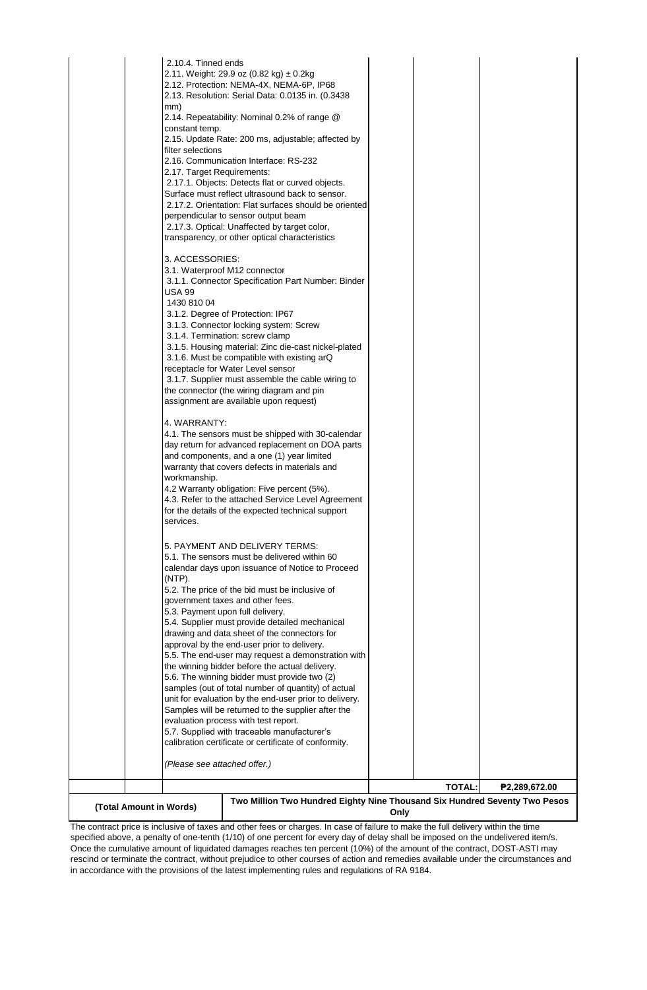| 2.10.4. Tinned ends<br>mm)<br>constant temp.<br>filter selections<br>2.17. Target Requirements:<br>3. ACCESSORIES:<br>USA 99<br>1430 810 04<br>4. WARRANTY:<br>workmanship.<br>services.<br>(NTP). | 2.11. Weight: 29.9 oz (0.82 kg) ± 0.2kg<br>2.12. Protection: NEMA-4X, NEMA-6P, IP68<br>2.13. Resolution: Serial Data: 0.0135 in. (0.3438)<br>2.14. Repeatability: Nominal 0.2% of range @<br>2.15. Update Rate: 200 ms, adjustable; affected by<br>2.16. Communication Interface: RS-232<br>2.17.1. Objects: Detects flat or curved objects.<br>Surface must reflect ultrasound back to sensor.<br>2.17.2. Orientation: Flat surfaces should be oriented<br>perpendicular to sensor output beam<br>2.17.3. Optical: Unaffected by target color,<br>transparency, or other optical characteristics<br>3.1. Waterproof M12 connector<br>3.1.1. Connector Specification Part Number: Binder<br>3.1.2. Degree of Protection: IP67<br>3.1.3. Connector locking system: Screw<br>3.1.4. Termination: screw clamp<br>3.1.5. Housing material: Zinc die-cast nickel-plated<br>3.1.6. Must be compatible with existing arQ<br>receptacle for Water Level sensor<br>3.1.7. Supplier must assemble the cable wiring to<br>the connector (the wiring diagram and pin<br>assignment are available upon request)<br>4.1. The sensors must be shipped with 30-calendar<br>day return for advanced replacement on DOA parts<br>and components, and a one (1) year limited<br>warranty that covers defects in materials and<br>4.2 Warranty obligation: Five percent (5%).<br>4.3. Refer to the attached Service Level Agreement<br>for the details of the expected technical support<br>5. PAYMENT AND DELIVERY TERMS:<br>5.1. The sensors must be delivered within 60<br>calendar days upon issuance of Notice to Proceed<br>5.2. The price of the bid must be inclusive of<br>government taxes and other fees.<br>5.3. Payment upon full delivery.<br>5.4. Supplier must provide detailed mechanical<br>drawing and data sheet of the connectors for<br>approval by the end-user prior to delivery.<br>5.5. The end-user may request a demonstration with<br>the winning bidder before the actual delivery.<br>5.6. The winning bidder must provide two (2)<br>samples (out of total number of quantity) of actual<br>unit for evaluation by the end-user prior to delivery.<br>Samples will be returned to the supplier after the<br>evaluation process with test report.<br>5.7. Supplied with traceable manufacturer's<br>calibration certificate or certificate of conformity. |      |               |               |
|----------------------------------------------------------------------------------------------------------------------------------------------------------------------------------------------------|----------------------------------------------------------------------------------------------------------------------------------------------------------------------------------------------------------------------------------------------------------------------------------------------------------------------------------------------------------------------------------------------------------------------------------------------------------------------------------------------------------------------------------------------------------------------------------------------------------------------------------------------------------------------------------------------------------------------------------------------------------------------------------------------------------------------------------------------------------------------------------------------------------------------------------------------------------------------------------------------------------------------------------------------------------------------------------------------------------------------------------------------------------------------------------------------------------------------------------------------------------------------------------------------------------------------------------------------------------------------------------------------------------------------------------------------------------------------------------------------------------------------------------------------------------------------------------------------------------------------------------------------------------------------------------------------------------------------------------------------------------------------------------------------------------------------------------------------------------------------------------------------------------------------------------------------------------------------------------------------------------------------------------------------------------------------------------------------------------------------------------------------------------------------------------------------------------------------------------------------------------------------------------------------------------------------------------------------------------------------|------|---------------|---------------|
| (Please see attached offer.)                                                                                                                                                                       |                                                                                                                                                                                                                                                                                                                                                                                                                                                                                                                                                                                                                                                                                                                                                                                                                                                                                                                                                                                                                                                                                                                                                                                                                                                                                                                                                                                                                                                                                                                                                                                                                                                                                                                                                                                                                                                                                                                                                                                                                                                                                                                                                                                                                                                                                                                                                                      |      |               |               |
|                                                                                                                                                                                                    |                                                                                                                                                                                                                                                                                                                                                                                                                                                                                                                                                                                                                                                                                                                                                                                                                                                                                                                                                                                                                                                                                                                                                                                                                                                                                                                                                                                                                                                                                                                                                                                                                                                                                                                                                                                                                                                                                                                                                                                                                                                                                                                                                                                                                                                                                                                                                                      |      | <b>TOTAL:</b> | ₱2,289,672.00 |
| (Total Amount in Words)                                                                                                                                                                            | Two Million Two Hundred Eighty Nine Thousand Six Hundred Seventy Two Pesos                                                                                                                                                                                                                                                                                                                                                                                                                                                                                                                                                                                                                                                                                                                                                                                                                                                                                                                                                                                                                                                                                                                                                                                                                                                                                                                                                                                                                                                                                                                                                                                                                                                                                                                                                                                                                                                                                                                                                                                                                                                                                                                                                                                                                                                                                           | Only |               |               |

The contract price is inclusive of taxes and other fees or charges. In case of failure to make the full delivery within the time specified above, a penalty of one-tenth (1/10) of one percent for every day of delay shall be imposed on the undelivered item/s. Once the cumulative amount of liquidated damages reaches ten percent (10%) of the amount of the contract, DOST-ASTI may rescind or terminate the contract, without prejudice to other courses of action and remedies available under the circumstances and in accordance with the provisions of the latest implementing rules and regulations of RA 9184.